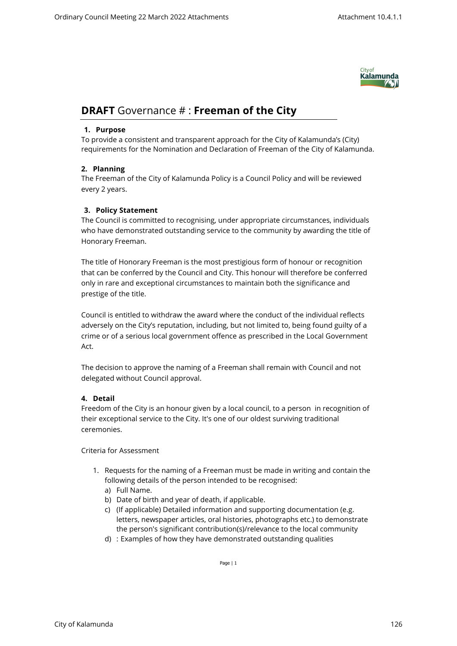

# **DRAFT** Governance # : **Freeman of the City**

## **1. Purpose**

To provide a consistent and transparent approach for the City of Kalamunda's (City) requirements for the Nomination and Declaration of Freeman of the City of Kalamunda.

# **2. Planning**

The Freeman of the City of Kalamunda Policy is a Council Policy and will be reviewed every 2 years.

# **3. Policy Statement**

The Council is committed to recognising, under appropriate circumstances, individuals who have demonstrated outstanding service to the community by awarding the title of Honorary Freeman.

The title of Honorary Freeman is the most prestigious form of honour or recognition that can be conferred by the Council and City. This honour will therefore be conferred only in rare and exceptional circumstances to maintain both the significance and prestige of the title.

Council is entitled to withdraw the award where the conduct of the individual reflects adversely on the City's reputation, including, but not limited to, being found guilty of a crime or of a serious local government offence as prescribed in the Local Government Act.

The decision to approve the naming of a Freeman shall remain with Council and not delegated without Council approval.

# **4. Detail**

Freedom of the City is an honour given by a local council, to a person in recognition of their exceptional service to the City. It's one of our oldest surviving traditional ceremonies.

## Criteria for Assessment

- 1. Requests for the naming of a Freeman must be made in writing and contain the following details of the person intended to be recognised:
	- a) Full Name.
	- b) Date of birth and year of death, if applicable.
	- c) (If applicable) Detailed information and supporting documentation (e.g. letters, newspaper articles, oral histories, photographs etc.) to demonstrate the person's significant contribution(s)/relevance to the local community
	- d) : Examples of how they have demonstrated outstanding qualities

Page | 1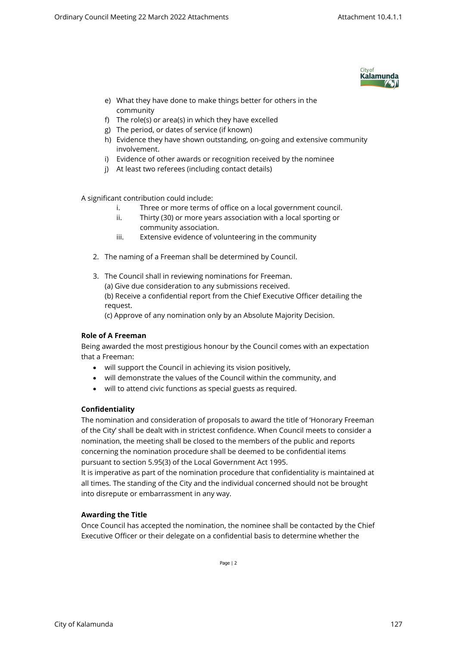

- e) What they have done to make things better for others in the community
- f) The role(s) or area(s) in which they have excelled
- g) The period, or dates of service (if known)
- h) Evidence they have shown outstanding, on-going and extensive community involvement.
- i) Evidence of other awards or recognition received by the nominee
- j) At least two referees (including contact details)

A significant contribution could include:

- i. Three or more terms of office on a local government council.
- ii. Thirty (30) or more years association with a local sporting or community association.
- iii. Extensive evidence of volunteering in the community
- 2. The naming of a Freeman shall be determined by Council.
- 3. The Council shall in reviewing nominations for Freeman. (a) Give due consideration to any submissions received. (b) Receive a confidential report from the Chief Executive Officer detailing the request.

(c) Approve of any nomination only by an Absolute Majority Decision.

## **Role of A Freeman**

Being awarded the most prestigious honour by the Council comes with an expectation that a Freeman:

- will support the Council in achieving its vision positively,
- will demonstrate the values of the Council within the community, and
- will to attend civic functions as special guests as required.

# **Confidentiality**

The nomination and consideration of proposals to award the title of 'Honorary Freeman of the City' shall be dealt with in strictest confidence. When Council meets to consider a nomination, the meeting shall be closed to the members of the public and reports concerning the nomination procedure shall be deemed to be confidential items pursuant to section 5.95(3) of the Local Government Act 1995.

It is imperative as part of the nomination procedure that confidentiality is maintained at all times. The standing of the City and the individual concerned should not be brought into disrepute or embarrassment in any way.

## **Awarding the Title**

Once Council has accepted the nomination, the nominee shall be contacted by the Chief Executive Officer or their delegate on a confidential basis to determine whether the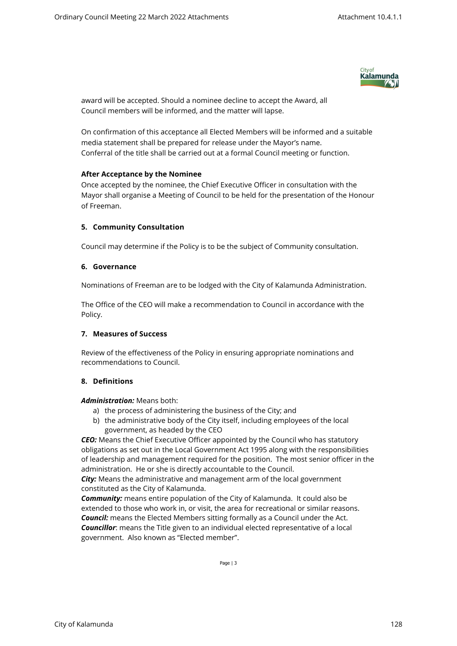

award will be accepted. Should a nominee decline to accept the Award, all Council members will be informed, and the matter will lapse.

On confirmation of this acceptance all Elected Members will be informed and a suitable media statement shall be prepared for release under the Mayor's name. Conferral of the title shall be carried out at a formal Council meeting or function.

#### **After Acceptance by the Nominee**

Once accepted by the nominee, the Chief Executive Officer in consultation with the Mayor shall organise a Meeting of Council to be held for the presentation of the Honour of Freeman.

## **5. Community Consultation**

Council may determine if the Policy is to be the subject of Community consultation.

#### **6. Governance**

Nominations of Freeman are to be lodged with the City of Kalamunda Administration.

The Office of the CEO will make a recommendation to Council in accordance with the Policy.

## **7. Measures of Success**

Review of the effectiveness of the Policy in ensuring appropriate nominations and recommendations to Council.

## **8. Definitions**

#### *Administration:* Means both:

- a) the process of administering the business of the City; and
- b) the administrative body of the City itself, including employees of the local government, as headed by the CEO

*CEO:* Means the Chief Executive Officer appointed by the Council who has statutory obligations as set out in the Local Government Act 1995 along with the responsibilities of leadership and management required for the position. The most senior officer in the administration. He or she is directly accountable to the Council.

*City:* Means the administrative and management arm of the local government constituted as the City of Kalamunda.

*Community:* means entire population of the City of Kalamunda. It could also be extended to those who work in, or visit, the area for recreational or similar reasons. *Council:* means the Elected Members sitting formally as a Council under the Act. *Councillor*: means the Title given to an individual elected representative of a local government. Also known as "Elected member".